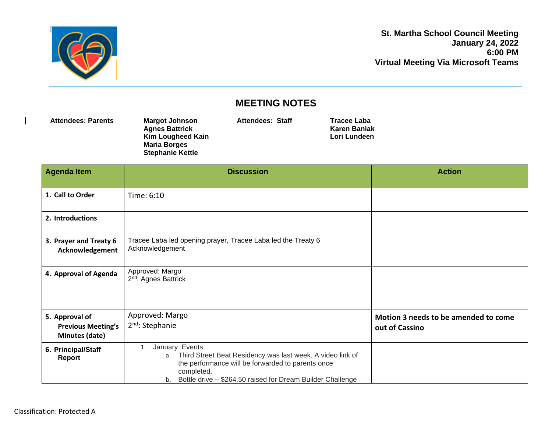

**St. Martha School Council Meeting January 24, 2022 6:00 PM Virtual Meeting Via Microsoft Teams**

## **MEETING NOTES**

| <b>Attendees: Parents</b> | <b>Margot Johnson</b>   | Attendees: Staff | Tracee Laba  |  |
|---------------------------|-------------------------|------------------|--------------|--|
|                           | <b>Agnes Battrick</b>   |                  | Karen Baniak |  |
|                           | Kim Lougheed Kain       |                  | Lori Lundeen |  |
|                           | <b>Maria Borges</b>     |                  |              |  |
|                           | <b>Stephanie Kettle</b> |                  |              |  |

| <b>Agenda Item</b>                                            | <b>Discussion</b>                                                                                                                                                                                                          | <b>Action</b>                                          |
|---------------------------------------------------------------|----------------------------------------------------------------------------------------------------------------------------------------------------------------------------------------------------------------------------|--------------------------------------------------------|
|                                                               |                                                                                                                                                                                                                            |                                                        |
| 1. Call to Order                                              | Time: 6:10                                                                                                                                                                                                                 |                                                        |
| 2. Introductions                                              |                                                                                                                                                                                                                            |                                                        |
| 3. Prayer and Treaty 6<br>Acknowledgement                     | Tracee Laba led opening prayer, Tracee Laba led the Treaty 6<br>Acknowledgement                                                                                                                                            |                                                        |
| 4. Approval of Agenda                                         | Approved: Margo<br>2 <sup>nd</sup> : Agnes Battrick                                                                                                                                                                        |                                                        |
| 5. Approval of<br><b>Previous Meeting's</b><br>Minutes (date) | Approved: Margo<br>2 <sup>nd</sup> : Stephanie                                                                                                                                                                             | Motion 3 needs to be amended to come<br>out of Cassino |
| 6. Principal/Staff<br>Report                                  | January Events:<br>1.<br>a. Third Street Beat Residency was last week. A video link of<br>the performance will be forwarded to parents once<br>completed.<br>b. Bottle drive - \$264.50 raised for Dream Builder Challenge |                                                        |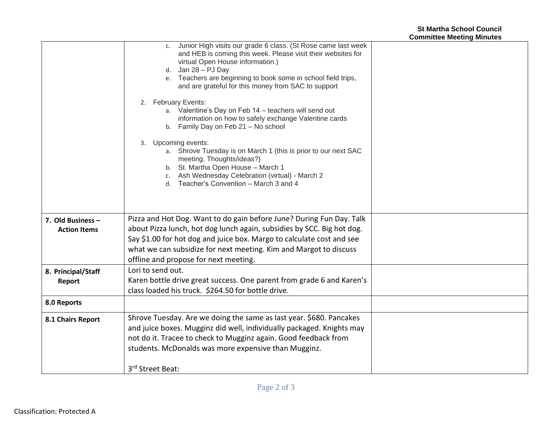|                                          | c. Junior High visits our grade 6 class. (St Rose came last week<br>and HEB is coming this week. Please visit their websites for<br>virtual Open House information.)<br>d. Jan $28 - PJ$ Day<br>e. Teachers are beginning to book some in school field trips,<br>and are grateful for this money from SAC to support<br>2. February Events:<br>a. Valentine's Day on Feb 14 - teachers will send out<br>information on how to safely exchange Valentine cards<br>b. Family Day on Feb 21 - No school<br>Upcoming events:<br>3.<br>a. Shrove Tuesday is on March 1 (this is prior to our next SAC<br>meeting. Thoughts/ideas?)<br>b. St. Martha Open House - March 1<br>c. Ash Wednesday Celebration (virtual) - March 2<br>d. Teacher's Convention - March 3 and 4 |  |
|------------------------------------------|--------------------------------------------------------------------------------------------------------------------------------------------------------------------------------------------------------------------------------------------------------------------------------------------------------------------------------------------------------------------------------------------------------------------------------------------------------------------------------------------------------------------------------------------------------------------------------------------------------------------------------------------------------------------------------------------------------------------------------------------------------------------|--|
| 7. Old Business -<br><b>Action Items</b> | Pizza and Hot Dog. Want to do gain before June? During Fun Day. Talk<br>about Pizza lunch, hot dog lunch again, subsidies by SCC. Big hot dog.<br>Say \$1.00 for hot dog and juice box. Margo to calculate cost and see                                                                                                                                                                                                                                                                                                                                                                                                                                                                                                                                            |  |
|                                          | what we can subsidize for next meeting. Kim and Margot to discuss<br>offline and propose for next meeting.                                                                                                                                                                                                                                                                                                                                                                                                                                                                                                                                                                                                                                                         |  |
| 8. Principal/Staff                       | Lori to send out.                                                                                                                                                                                                                                                                                                                                                                                                                                                                                                                                                                                                                                                                                                                                                  |  |
| Report                                   | Karen bottle drive great success. One parent from grade 6 and Karen's                                                                                                                                                                                                                                                                                                                                                                                                                                                                                                                                                                                                                                                                                              |  |
|                                          | class loaded his truck. \$264.50 for bottle drive.                                                                                                                                                                                                                                                                                                                                                                                                                                                                                                                                                                                                                                                                                                                 |  |
| 8.0 Reports                              |                                                                                                                                                                                                                                                                                                                                                                                                                                                                                                                                                                                                                                                                                                                                                                    |  |
| 8.1 Chairs Report                        | Shrove Tuesday. Are we doing the same as last year. \$680. Pancakes                                                                                                                                                                                                                                                                                                                                                                                                                                                                                                                                                                                                                                                                                                |  |
|                                          | and juice boxes. Mugginz did well, individually packaged. Knights may                                                                                                                                                                                                                                                                                                                                                                                                                                                                                                                                                                                                                                                                                              |  |
|                                          | not do it. Tracee to check to Mugginz again. Good feedback from                                                                                                                                                                                                                                                                                                                                                                                                                                                                                                                                                                                                                                                                                                    |  |
|                                          | students. McDonalds was more expensive than Mugginz.                                                                                                                                                                                                                                                                                                                                                                                                                                                                                                                                                                                                                                                                                                               |  |
|                                          | 3rd Street Beat:                                                                                                                                                                                                                                                                                                                                                                                                                                                                                                                                                                                                                                                                                                                                                   |  |